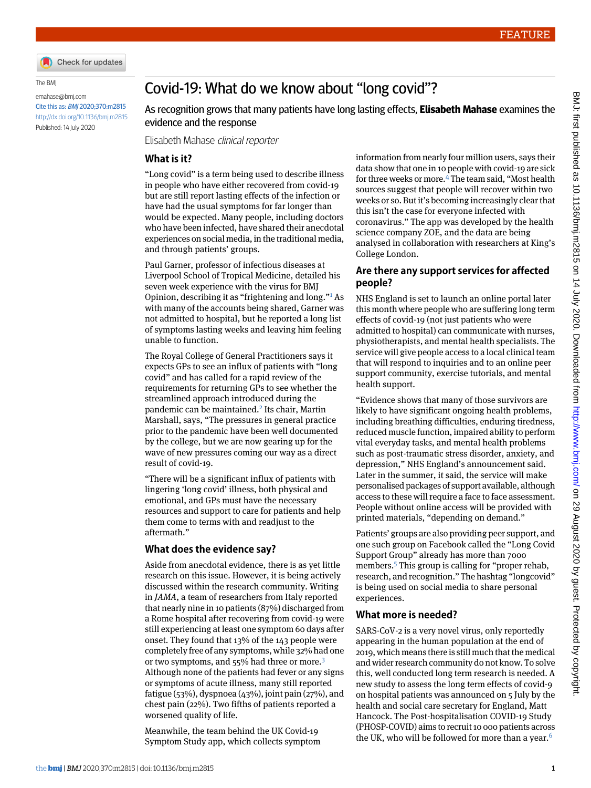

The BMJ

emahase@bmj.com Cite this as: BMJ 2020;370:m2815 http://dx.doi.org/10.1136/bmj.m2815 Published: 14 July 2020

# Covid-19: What do we know about "long covid"?

As recognition grows that many patients have long lasting effects, **Elisabeth Mahase** examines the evidence and the response

Elisabeth Mahase clinical reporter

## **What is it?**

"Long covid" is a term being used to describe illness in people who have either recovered from covid-19 but are still report lasting effects of the infection or have had the usual symptoms for far longer than would be expected. Many people, including doctors who have been infected, have shared their anecdotal experiences on social media, in the traditional media, and through patients' groups.

Paul Garner, professor of infectious diseases at Liverpool School of Tropical Medicine, detailed his seven week experience with the virus for BMJ Opinion, describing it as "frightening and long."<sup>[1](#page-1-0)</sup> As with many of the accounts being shared, Garner was not admitted to hospital, but he reported a long list of symptoms lasting weeks and leaving him feeling unable to function.

The Royal College of General Practitioners says it expects GPs to see an influx of patients with "long covid" and has called for a rapid review of the requirements for returning GPs to see whether the streamlined approach introduced during the pandemic can be maintained.<sup>[2](#page-1-1)</sup> Its chair, Martin Marshall, says, "The pressures in general practice prior to the pandemic have been well documented by the college, but we are now gearing up for the wave of new pressures coming our way as a direct result of covid-19.

"There will be a significant influx of patients with lingering 'long covid' illness, both physical and emotional, and GPs must have the necessary resources and support to care for patients and help them come to terms with and readjust to the aftermath."

#### **What does the evidence say?**

Aside from anecdotal evidence, there is as yet little research on this issue. However, it is being actively discussed within the research community. Writing in *JAMA*, a team of researchers from Italy reported that nearly nine in 10 patients (87%) discharged from a Rome hospital after recovering from covid-19 were still experiencing at least one symptom 60 days after onset. They found that 13% of the 143 people were completely free of any symptoms, while 32% had one or two symptoms, and 55% had three or more.<sup>[3](#page-1-2)</sup> Although none of the patients had fever or any signs or symptoms of acute illness, many still reported fatigue (53%), dyspnoea (43%), joint pain (27%), and chest pain (22%). Two fifths of patients reported a worsened quality of life.

Meanwhile, the team behind the UK Covid-19 Symptom Study app, which collects symptom information from nearly four million users, says their data show that one in 10 people with covid-19 are sick for three weeks or more.[4](#page-1-3) The team said, "Most health sources suggest that people will recover within two weeks or so. But it's becoming increasingly clear that this isn't the case for everyone infected with coronavirus." The app was developed by the health science company ZOE, and the data are being analysed in collaboration with researchers at King's College London.

### **Are there any support services for affected people?**

NHS England is set to launch an online portal later this month where people who are suffering long term effects of covid-19 (not just patients who were admitted to hospital) can communicate with nurses, physiotherapists, and mental health specialists. The service will give people access to a local clinical team that will respond to inquiries and to an online peer support community, exercise tutorials, and mental health support.

"Evidence shows that many of those survivors are likely to have significant ongoing health problems, including breathing difficulties, enduring tiredness, reduced muscle function, impaired ability to perform vital everyday tasks, and mental health problems such as post-traumatic stress disorder, anxiety, and depression," NHS England's announcement said. Later in the summer, it said, the service will make personalised packages of support available, although access to these will require a face to face assessment. People without online access will be provided with printed materials, "depending on demand."

Patients' groups are also providing peer support, and one such group on Facebook called the "Long Covid Support Group" already has more than 7000 members.<sup>[5](#page-1-4)</sup> This group is calling for "proper rehab, research, and recognition." The hashtag "longcovid" is being used on social media to share personal experiences.

#### **What more is needed?**

SARS-CoV-2 is a very novel virus, only reportedly appearing in the human population at the end of 2019, which means there is still much that the medical and wider research community do not know. To solve this, well conducted long term research is needed. A new study to assess the long term effects of covid-9 on hospital patients was announced on 5 July by the health and social care secretary for England, Matt Hancock. The Post-hospitalisation COVID-19 Study (PHOSP-COVID) aims to recruit 10 000 patients across the UK, who will be followed for more than a year.<sup>[6](#page-1-5)</sup>